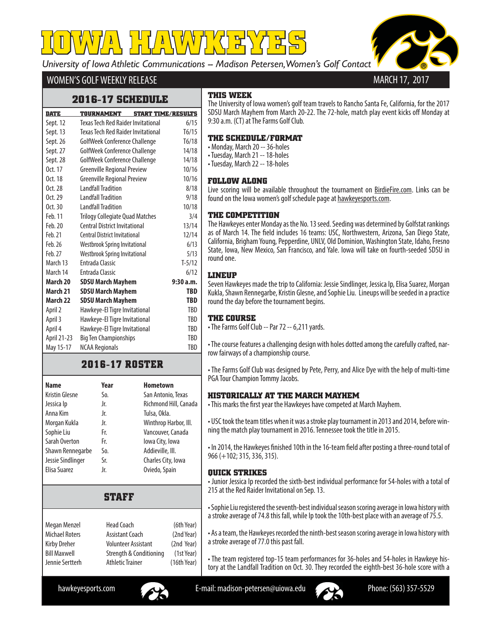*University of Iowa Athletic Communications -- Madison Petersen, Women's Golf Contact* **IOWA HAWKEYES OWA** 



## WOMEN'S GOLF WEEKLY RELEASE

### **2016-17 SCHEDULE**

| <b>DATE</b> | <b>TOURNAMENT</b>                         | <b>START TIME/RESULTS</b> |            |
|-------------|-------------------------------------------|---------------------------|------------|
| Sept. 12    | <b>Texas Tech Red Raider Invitational</b> |                           | 6/15       |
| Sept. 13    | <b>Texas Tech Red Raider Invitational</b> |                           | T6/15      |
| Sept. 26    | GolfWeek Conference Challenge             |                           | T6/18      |
| Sept. 27    | GolfWeek Conference Challenge             |                           | 14/18      |
| Sept. 28    | GolfWeek Conference Challenge             |                           | 14/18      |
| Oct. 17     | <b>Greenville Regional Preview</b>        |                           | 10/16      |
| Oct. 18     | <b>Greenville Regional Preview</b>        |                           | 10/16      |
| Oct. 28     | Landfall Tradition                        |                           | 8/18       |
| Oct. 29     | <b>Landfall Tradition</b>                 |                           | 9/18       |
| Oct. 30     | <b>Landfall Tradition</b>                 |                           | 10/18      |
| Feb. 11     | <b>Trilogy Collegiate Quad Matches</b>    |                           | 3/4        |
| Feb. 20     | <b>Central District Invitational</b>      |                           | 13/14      |
| Feb. 21     | <b>Central District Invitational</b>      |                           | 12/14      |
| Feb. 26     | Westbrook Spring Invitational             |                           | 6/13       |
| Feb. 27     | <b>Westbrook Spring Invitational</b>      |                           | 5/13       |
| March 13    | <b>Fntrada Classic</b>                    |                           | $T-5/12$   |
| March 14    | <b>Entrada Classic</b>                    |                           | 6/12       |
| March 20    | <b>SDSU March Mayhem</b>                  |                           | 9:30a.m.   |
| March 21    | <b>SDSU March Mayhem</b>                  |                           | TBD        |
| March 22    | <b>SDSU March Mayhem</b>                  |                           | TBD        |
| April 2     | Hawkeye-El Tigre Invitational             |                           | TBD        |
| April 3     | Hawkeye-El Tigre Invitational             |                           | TBD        |
| April 4     | Hawkeye-El Tigre Invitational             |                           | TBD        |
| April 21-23 | <b>Big Ten Championships</b>              |                           | <b>TBD</b> |
| May 15-17   | <b>NCAA Regionals</b>                     |                           | TBD        |

## **2016-17 ROSTER**

| <b>Name</b>           | Year | <b>Hometown</b>       |
|-----------------------|------|-----------------------|
| <b>Kristin Glesne</b> | So.  | San Antonio, Texas    |
| Jessica Ip            | Jr.  | Richmond Hill, Canada |
| Anna Kim              | Jr.  | Tulsa, Okla.          |
| Morgan Kukla          | Jr.  | Winthrop Harbor, III. |
| Sophie Liu            | Fr.  | Vancouver, Canada     |
| Sarah Overton         | Fr.  | Iowa City, Iowa       |
| Shawn Rennegarbe      | So.  | Addieville, III.      |
| Jessie Sindlinger     | Sr.  | Charles City, Iowa    |
| Elisa Suarez          | Jr.  | Oviedo, Spain         |

## **STAFF**

| Megan Menzel    | <b>Head Coach</b>          | (6th Year)  |
|-----------------|----------------------------|-------------|
| Michael Roters  | <b>Assistant Coach</b>     | (2nd Year)  |
| Kirby Dreher    | <b>Volunteer Assistant</b> | (2nd Year)  |
| Bill Maxwell    | Strength & Conditioning    | (1st Year)  |
| Jennie Sertterh | <b>Athletic Trainer</b>    | (16th Year) |
|                 |                            |             |

### **THIS WEEK**

The University of Iowa women's golf team travels to Rancho Santa Fe, California, for the 2017 SDSU March Mayhem from March 20-22. The 72-hole, match play event kicks off Monday at 9:30 a.m. (CT) at The Farms Golf Club.

#### **THE SCHEDULE/FORMAT**

• Monday, March 20 -- 36-holes

- Tuesday, March 21 -- 18-holes
- Tuesday, March 22 -- 18-holes

#### **FOLLOW ALONG**

Live scoring will be available throughout the tournament on BirdieFire.com. Links can be found on the Iowa women's golf schedule page at hawkeyesports.com.

#### **THE COMPETITION**

The Hawkeyes enter Monday as the No. 13 seed. Seeding was determined by Golfstat rankings as of March 14. The field includes 16 teams: USC, Northwestern, Arizona, San Diego State, California, Brigham Young, Pepperdine, UNLV, Old Dominion, Washington State, Idaho, Fresno State, Iowa, New Mexico, San Francisco, and Yale. Iowa will take on fourth-seeded SDSU in round one.

#### **LINEUP**

Seven Hawkeyes made the trip to California: Jessie Sindlinger, Jessica Ip, Elisa Suarez, Morgan Kukla, Shawn Rennegarbe, Kristin Glesne, and Sophie Liu. Lineups will be seeded in a practice round the day before the tournament begins.

#### **THE COURSE**

• The Farms Golf Club -- Par 72 -- 6,211 yards.

• The course features a challenging design with holes dotted among the carefully crafted, narrow fairways of a championship course.

• The Farms Golf Club was designed by Pete, Perry, and Alice Dye with the help of multi-time PGA Tour Champion Tommy Jacobs.

#### **HISTORICALLY AT THE MARCH MAYHEM**

• This marks the first year the Hawkeyes have competed at March Mayhem.

• USC took the team titles when it was a stroke play tournament in 2013 and 2014, before winning the match play tournament in 2016. Tennessee took the title in 2015.

• In 2014, the Hawkeyes finished 10th in the 16-team field after posting a three-round total of 966 (+102; 315, 336, 315).

#### **QUICK STRIKES**

• Junior Jessica Ip recorded the sixth-best individual performance for 54-holes with a total of 215 at the Red Raider Invitational on Sep. 13.

• Sophie Liu registered the seventh-best individual season scoring average in Iowa history with a stroke average of 74.8 this fall, while Ip took the 10th-best place with an average of 75.5.

• As a team, the Hawkeyes recorded the ninth-best season scoring average in Iowa history with a stroke average of 77.0 this past fall.

• The team registered top-15 team performances for 36-holes and 54-holes in Hawkeye history at the Landfall Tradition on Oct. 30. They recorded the eighth-best 36-hole score with a